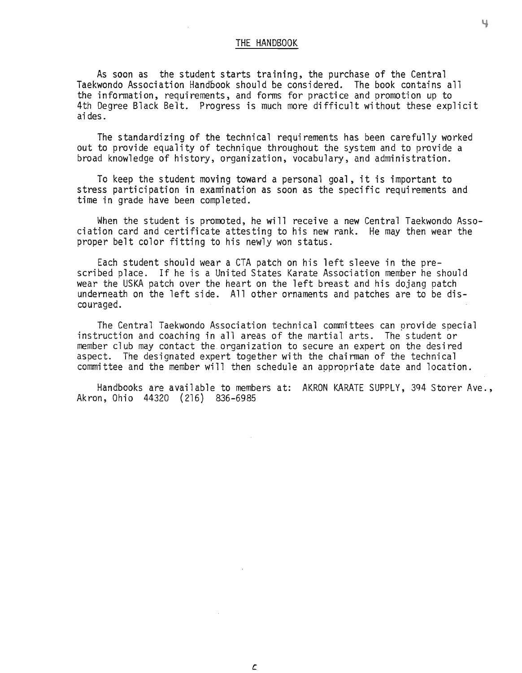## THE HANDBOOK

As soon as the student starts training, the purchase of the Central Taekwondo Association Handbook should be considered. The book contains all the information, requirements, and forms for practice and promotion up to 4th Degree Black Belt. Progress is much more difficult without these explicit aides.

The standardizing of the technical requirements has been carefully worked out to provide equality of technique throughout the system and to provide a broad knowledge of history, organization, vocabulary, and administration.

To keep the student moving toward a personal goal, it is important to stress participation in examination as soon as the specific requirements and time in grade have been completed.

When the student is promoted, he will receive a new Central Taekwondo Association card and certificate attesting to his new rank. He may then wear the proper belt color fitting to his newly won status.

Each student should wear a CTA patch on his left sleeve in the prescribed place. If he is a United States Karate Association member he should wear the USKA patch over the heart on the left breast and his dojang patch underneath on the left side. All other ornaments and patches are to be discouraged.

The Central Taekwondo Association technical committees can orovide soecial instruction and coaching in all areas of the martial arts. The student or member club may contact the organization to secure an expert on the desired aspect. The designated expert together with the chairman of the technical committee and the member will then schedule an appropriate date and location.

Handbooks are available to members at: AKRON KARATE SUPPLY, *3q4* Storer Ave., Akron, Ohio 44320 (216) 836-6985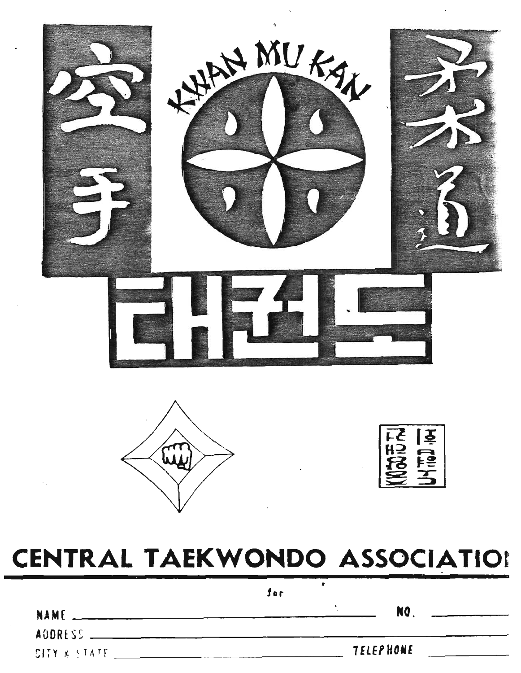





## **CENTRAL TAEKWONDO ASSOCIATIOI**

for NO. TELEPHONE CITY  $x \leq TATE$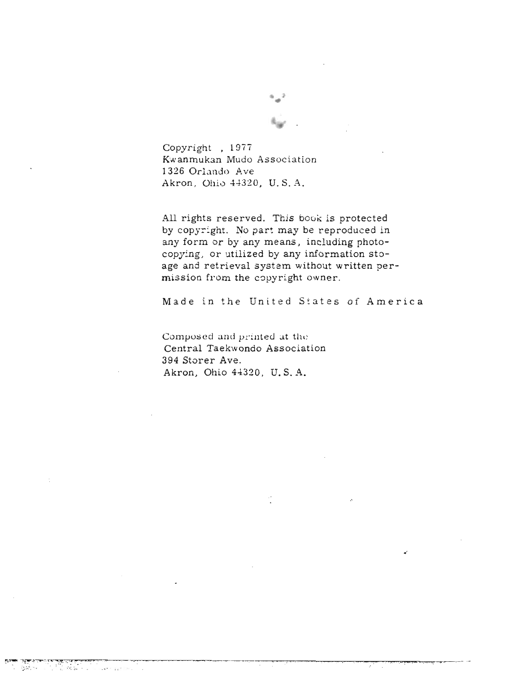Copyright, 1977 Kwanmukan Mudo Association 1326 Orlando Ave Akron, Ohio 44320, U.S.A.

All rights reserved. This book is protected by copyright. No part may be reproduced in any form or by any means, including photocopying, or utilized by any information stoage and retrieval system without written permission from the copyright owner.

Made in the United States of America

à,

Composed and printed at the Central Taekwondo Association 394 Storer Ave. Akron, Ohio 44320, U.S.A.

 $\mathbb{R}^{n}$  is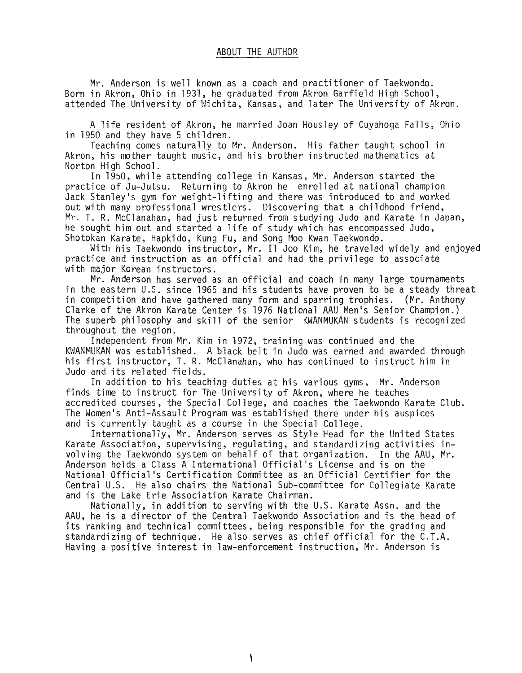Mr. Anderson is well known as a coach and practitioner of Taekwondo. Born in Akron, Ohio in 1931, he graduated from Akron Garfield High School, attended The University of Wichita, Kansas, and later The University of Akron.

A life resident of Akron, he married Joan Housley of Cuyahoga Falls, Ohio in 1950 and they have 5 children.

Teaching comes naturally to Mr. Anderson. His father taught school in Akron, his mother taught music, and his brother instructed mathematics at Norton High School.

In 1950, while attending college in Kansas, Mr. Anderson started the practice of Ju-Jutsu. Returning to Akron he enrolled at national champion Jack Stan1ey 's gym for weight-lifting and there was introduced to and worked out with many professional wrestlers. Discovering that a childhood friend, Mr. T. R. McClanahan, had just returned from studying Judo and Karate in Japan, he sought him out and started a life of study which has encompassed Judo, Shotokan Karate, Hapkido, Kung Fu, and Song Moo Kwan Taekwondo.

With his Taekwondo instructor, Mr. 11 Joo Kim, he traveled widely and enjoyed practice and instruction as an official and had the privilege to associate with major Korean instructors.

Mr. Anderson has served as an official and coach in many large tournaments in the eastern U.S. since 1965 and his students have proven to be a steady threat in competition and have gathered many form and sparring trophies. (Mr. Anthony Clarke of the Akron Karate Center is 1976 National AAU Men's Senior Champion.) The superb philosophy and skill of the senior KWANMUKAN students is recognized throughout the region.

Independent from Mr. Kim in 1972, training was continued and the KWANMUKAN was established. A black belt in Judo was earned and awarded through his first instructor, T. R. McClanahan, who has continued to instruct him in Judo and its related fields.

In addition to his teaching duties at his various gyms, Mr. Anderson finds time to instruct for The University of Akron, where he teaches accredited courses, the Special College, and coaches the Taekwondo Karate Club. The Women's Anti-Assault Program was established there under his auspices and is currently taught as a course in the Special College.

Internationally, Mr. Anderson serves as Style Head for the United States Karate Association, supervising, regulating, and standardizing activities involving the Taekwondo system on behalf of that organization. In the AAU, Mr. Anderson holds a Class A International Official's License and is on the National Official's Certification Committee as an Official Certifier for the Central U.S. He also chairs the National Sub-committee for Collegiate Karate and is the Lake Erie Association Karate Chairman.

Nationally, in addition to serving with the U.S. Karate Assn. and the AAU, he is a director of the Central Taekwondo Association and is the head of its ranking and technical committees, being responsible for the grading and standardizing of technique. He also serves as chief official for the C.T.A. Having a positive interest in law-enforcement instruction, Mr. Anderson is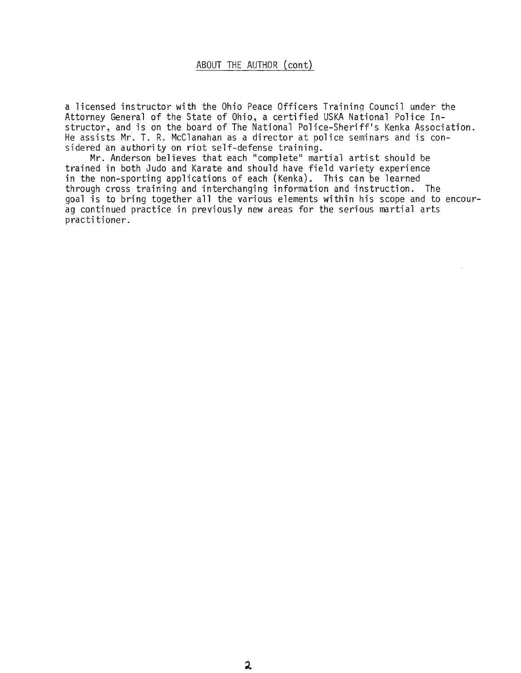a licensed instructor with the Ohio Peace Officers Training Council under the Attorney General of the State of Ohio, a certified USKA National Police Instructor, and is on the board of The National Police-Sheriff's Kenka Association. He assists Mr. T. R. McClanahan as a director at police seminars and is considered an authority on riot self-defense training.

Mr. Anderson believes that each "complete" martial artist should be trained in both Judo and Karate and should have field variety experience in the non-sporting applications of each (Kenka). This can be learned through cross training and interchanging information and instruction. The goal is to bring together all the various elements within his scope and to encourag continued practice in previously new areas for the serious martial arts practitioner.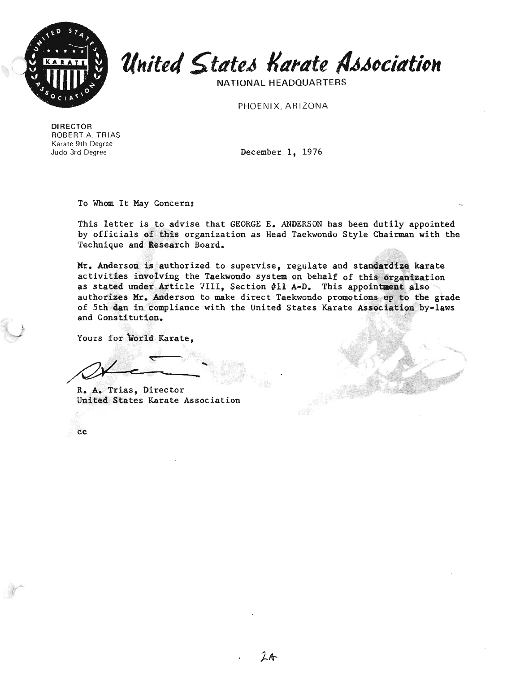

United States Karate Association

**NATIONAL HEADQUARTERS** 

PHOENIX, ARIZONA

**DIRECTOR** ROBERT A. TRIAS Karate 9th Degree Judo 3rd Degree

 $cc$ 

December 1, 1976

To Whom It May Concern:

This letter is to advise that GEORGE E. ANDERSON has been dutily appointed by officials of this organization as Head Taekwondo Style Chairman with the Technique and Research Board.

Mr. Anderson is authorized to supervise, regulate and standardize karate activities involving the Taekwondo system on behalf of this organization as stated under Article VIII, Section #11 A-D. This appointment also authorizes Mr. Anderson to make direct Taekwondo promotions up to the grade of 5th dan in compliance with the United States Karate Association by-laws and Constitution.

 $24$ 

Yours for World Karate,

R. A. Trias, Director United States Karate Association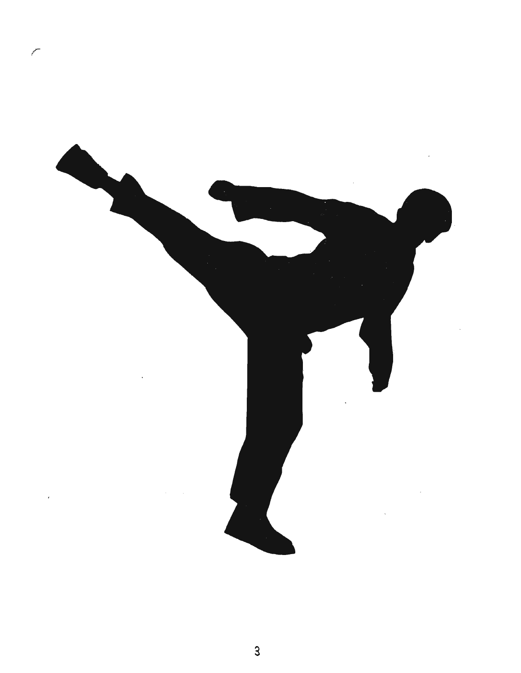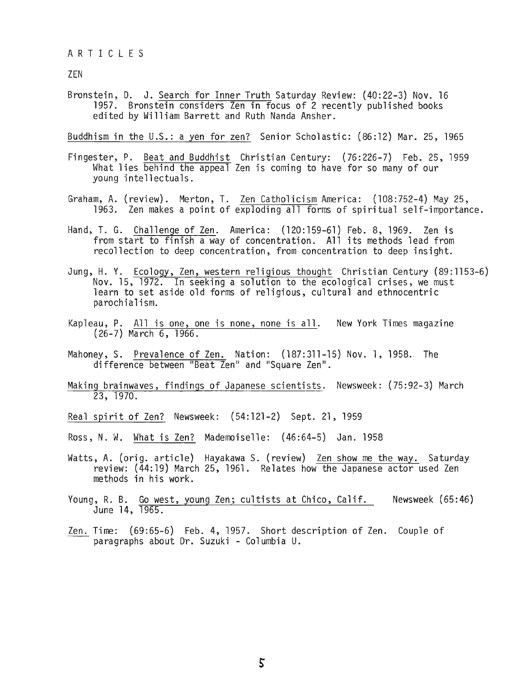ART I C L E S

ZEN

Bronstein, D. J. Search for Inner Truth Saturday Review: (40:22-3) Nov. 16 1957. Bronstein considers Zen in focus of 2 recently published books edited by William Barrett and Ruth Nanda Ansher.

Buddhism in the U.S.: a yen for zen? Senior Scholastic: (86:12) Mar. 25, 1965

- Fingester, P. <u>Beat and Buddhist</u> Christian Century: (76:226-7) Feb. 25, 1959 What lies behind the appeal Zen is coming to have for so many of our young fntellectuals.
- Graham, A. (review). Merton, 1. Zen Catholicism America: (108:752-4) May 25, 1963. Zen makes a point of exploding all forms of spiritual self-importance.
- Hand, 1. G. Challenge of Zen. America: (120:159-61) Feb. 8,1969. Zen is from start to finfsh a way of concentration. All its methods lead from recollection to deep concentration, from concentration to deep insight.
- Jung, H. Y. Ecology, Zen, western religious thought Christian Century (89:1153-6) Nov. 15, 1972. In seeking a solution to the ecological crises, we must learn to set aside old forms of religious, cultural and ethnocentric parochialism.
- Kapleau, P. All is one, one is none, none is all. New York Times magazine (26-7) March 6, 1966.
- Mahoney, S. Prevalence of Zen. Nation: (187:311-15) Nov. 1, 1958. The di fference between "Beat Zen" and "Square Zen".
- Making brainwaves, findings of Japanese scientists. Newsweek: (75:92-3) March 23, 1970.
- Real spirit of Zen? Newsweek: (54:121-2) Sept. 21,1959
- Ross, N. W. What is Zen? Mademoiselle: (46:64-5) Jan. 1958
- Watts, A. (orig. article) Hayakawa S. (review) Zen show me the way. Saturday review: (44:19) March 25, 1961. Relates how the Japanese actor used Zen methods in his work.
- Young, R. B. Go west, young Zen; cultists at Chico, Calif. Newsweek (65:46) June 14, 1965.
- Zen. Time: (69:65-6) Feb. 4, 1957. Short description of Zen. Couple of paragraphs about Dr. Suzuki - Columbfa U.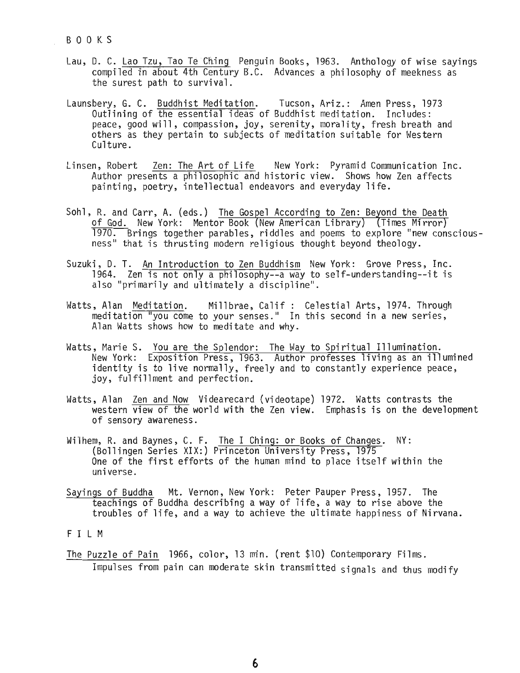- Lau, D. C. Lao Tzu, Tao Te Ching Penguin Books, 1963. Anthology of wise sayings compiled in about 4th Century B.C. Advances a philosophy of meekness as the surest path to survival.
- Launsbery, G. C. Buddhist Meditation. Tucson, Ariz.: Amen Press, 1973 Outlining of the essential ideas of Buddhist meditation. Includes: peace, good will, compassion, joy, serenity, morality, fresh breath and others as they pertain to subjects of meditation suitable for Western Culture.
- Linsen, Robert Zen: The Art of Life New York: Pyramid Communication Inc. Author presents a philosophic and historic view. Shows how Zen affects painting, poetry, intellectual endeavors and everyday life.
- Sohl, R. and Carr, A. (eds.) The Gospel According to Zen: Beyond the Death of God. New York: Mentor Book (New American Library) (Times Mirror) 1970. Brings together parables, riddles and poems to explore "new consciousness" that is thrusting modern religious thought beyond theology.
- Suzuki, D. T. An Introduction to Zen Buddhism New York: Grove Press, Inc. 1964. Zen is not only a philosophy--a way to self-understanding--it is also "primarily and ultimately a discipline".
- Watts, Alan <u>Meditation</u>. Millbrae, Calif : Celestial Arts, 1974. Through meditation "you come to your senses." In this second in a new series, Alan Watts shows how to meditate and why.
- Watts, Marie S. You are the Splendor: The Way to Spiritual Illumination. New York: Exposition Press, 1963. Author professes living as an illumined identity is to live normally, freely and to constantly experience peace, joy, fulfillment and perfection.
- Watts, Alan Zen and Now Videarecard (videotape) 1972. Watts contrasts the western view of the world with the Zen view. Emphasis is on the development of sensory awareness.
- Wilhem, R. and Baynes, C. F. The I Ching: or Books of Changes. NY: (Bollingen Series XIX:) Princeton University Press, 1975 One of the first efforts of the human mind to place itself within the uni verse.
- Sayi ngs of Buddha Mt. Vernon, New York: Peter Pauper Press, 1957. The teachings of Buddha describing a way of life, a way to rise above the troubles of life, and a way to achieve the ultimate happiness of Nirvana.

F I L M

The Puzzle of Pain 1966, color, 13 min. (rent \$10) Contemporary Films. Impulses from pain can moderate skin transmitted signals and thus modify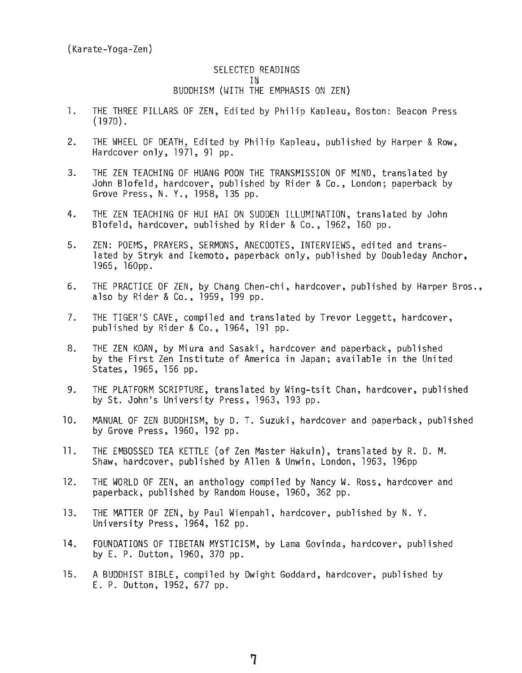## SELECTED READINGS IN BUDDHISM (WITH THE EMPHASIS ON ZEN)

- 1. THE THREE PILLARS OF ZEN, Edited by Philip Kapleau, Boston: Beacon Press (1970).
- 2. THE WHEEL OF DEATH, Edited by Philip Kapleau, published by Harper & Row, Hardcover only, 1971, 91 pp.
- 3. THE ZEN TEACHING OF HUANG POON THE TRANSMISSION OF MIND, translated by John Blofeld, hardcover, published by Rider & Co., London; paperback by Grove Press, N. Y., 1958, 135 pp.
- 4. THE ZEN TEACHING OF HUI HAlON SUDDEN ILLUMINATION, translated by John Blofeld, hardcover, published by Rider & Co., 1962, 160 pp.
- 5. ZEN: POEMS, PRAYERS, SERMONS, ANECDOTES, INTERVIEWS, edited and translated by Stryk and Ikemoto, paperback only, published by Doubleday Anchor, 1965, 160pp.
- 6. THE PRACTICE OF ZEN, by Chang Chen-chi, hardcover, published by Harper Bros., also by Rider & Co., 1959, 199 pp.
- 7. THE TIGER'S CAVE, compiled and translated by Trevor Leggett, hardcover, published by Rider & Co., 1964, 191 pp.
- 8. THE ZEN KOAN, by Miura and Sasaki, hardcover and paperback, published by the First Zen Institute of America in Japan; available in the United States, 1965, 156 pp.
- 9. THE PLATFORM SCRIPTURE, translated by Wing-tsit Chan, hardcover, published by St. John's University Press, 1963, 193 pp.
- 10. MANUAL OF ZEN BUDDHISM, by D. T. Suzuki, hardcover and paperback, published by Grove Press, 1960, 192 pp.
- 11. THE EMBOSSED TEA KETTLE (of Zen Master Hakuin), translated by R. D. M. Shaw, hardcover, published by Allen & Unwin, London, 1963, 196pp
- 12. THE WORLD OF ZEN, an anthology compiled by Nancy W. Ross, hardcover and paperback, published by Random House, 1960, 362 pp.
- 13. THE MATTER OF ZEN, by Paul Wienpahl, hardcover, published by N. Y. University Press, 1964, 162 pp.
- 14. FOUNDATIONS OF TIBETAN MYSTICISM, by Lama Govinda, hardcover, published by E. P. Dutton, 1960, 370 pp.
- 15. A BUDDHIST BIBLE, compiled by Dwight Goddard, hardcover, published by E. P. Dutton, 1952, 677 pp.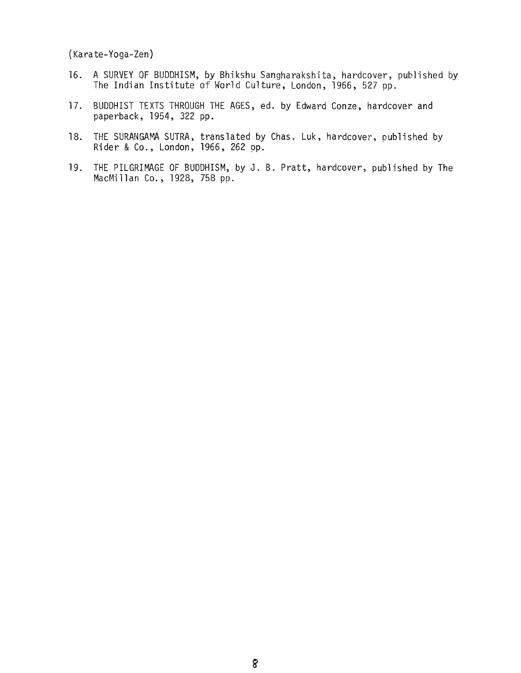(Karate-Yoga-Zen)

- 16. A SURVEY OF BUDDHISM, by Bhikshu Sangharakshita, hardcover, published by The Indian Institute of World Culture, London, 1966, 527 pp.
- 17. BUDDHIST TEXTS THROUGH THE AGES, ed. by Edward Conze, hardcover and paperback, 1954, 322 pp.
- 18. THE SURANGAMA SUTRA, translated by Chas. Luk, hardcover, published by Rider & Co., London, 1966, 262 pp.
- 19. THE PILGRIMAGE OF BUDDHISM, by J. B. Pratt, hardcover, published by The MacMillan Co., 1928, 758 pp.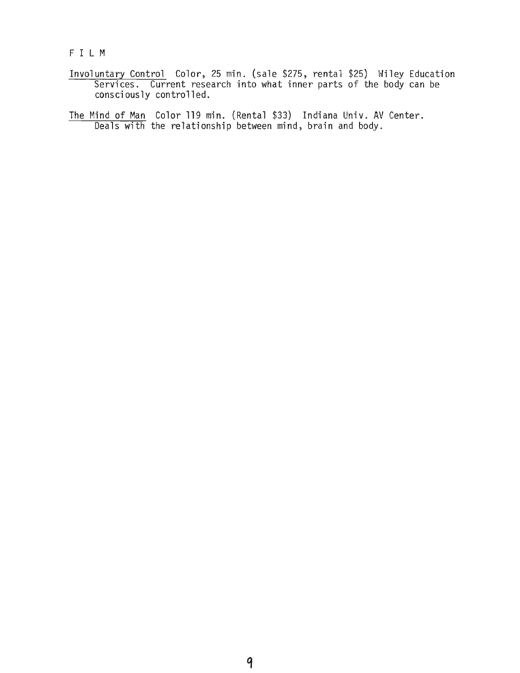F I L M

Involuntary Control Color, 25 min. (sale \$275, rental \$25) Hiley Education Services. Current research into what inner parts of the body can be consciously controlled.

The Mind of Man Color 119 min. (Rental \$33) Indiana Univ. AV Center. Deals with the relationship between mind, brain and body.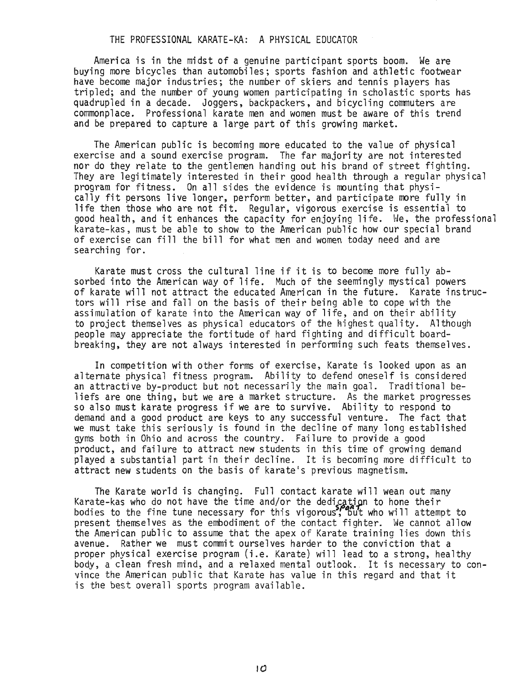## THE PROFESSIONAL KARATE-KA: A PHYSICAL EDUCATOR

America is in the midst of a genuine participant sports boom. We are buying more bicycles than automobiles; sports fashion and athletic footwear have become major industries; the number of skiers and tennis players has tripled; and the number of young women participating in scholastic sports has quadrupled in a decade. Joggers, backpackers, and bicycling commuters are commonplace. Professional karate men and women must be aware of this trend and be prepared to capture a large part of this growing market.

The American public is becoming more educated to the value of physical exercise and a sound exercise program. The far majority are not interested nor do they relate to the gentlemen handing out his brand of street fighting. They are legitimately interested in their good health through a regular physical program for fitness. On all sides the evidence is mounting that physi- cally fit persons live longer, perform better, and participate more fully in life then those who are not fit. Regular, vigorous exercise is essential to good health, and it enhances the capacity for enjoying life. We, the professional karate-kas, must be able to show to the American public how our special brand of exercise can fill the bill for what men and women today need and are searching for.

Karate must cross the cultural line if it is to become more fully absorbed into the American way of life. Much of the seemingly mystical powers of karate will not attract the educated American in the future. Karate instructors will rise and fallon the basis of their being able to cope with the assimulation of karate into the American way of life, and on their ability to project themselves as physical educators of the highest quality. Although people may appreciate the fortitude of hard fighting and difficult boardbreaking, they are not always interested in performing such feats themselves.

In competition with other forms of exercise, Karate is looked upon as an alternate physical fitness program. Ability to defend oneself is considered an attractive by-product but not necessarily the main goal. Traditional beliefs are one thing, but we are a market structure. As the market progresses so also must karate progress if we are to survive. Ability to respond to demand and a good product are keys to any successful venture. The fact that we must take this seriously is found in the decline of many long established gyms both in Ohio and across the country. Failure to provide a good product, and failure to attract new students in this time of growing demand played a substantial part in their decline. It is becoming more difficult to attract new students on the basis of karate's previous magnetism.

The Karate world is changing. Full contact karate will wean out many Karate-kas who do not have the time and/or the dedication to hone their bodies to the fine tune necessary for this vigorous, but who will attempt to present themselves as the embodiment of the contact fighter. We cannot allow the American public to assume that the apex of Karate training lies down this avenue. Rather we must commit ourselves harder to the conviction that a proper physical exercise program (i.e. Karate) will lead to a strong, healthy body, a clean fresh mind, and a relaxed mental outlook. It is necessary to convince the American public that Karate has value in this regard and that it is the best overall sports program available.